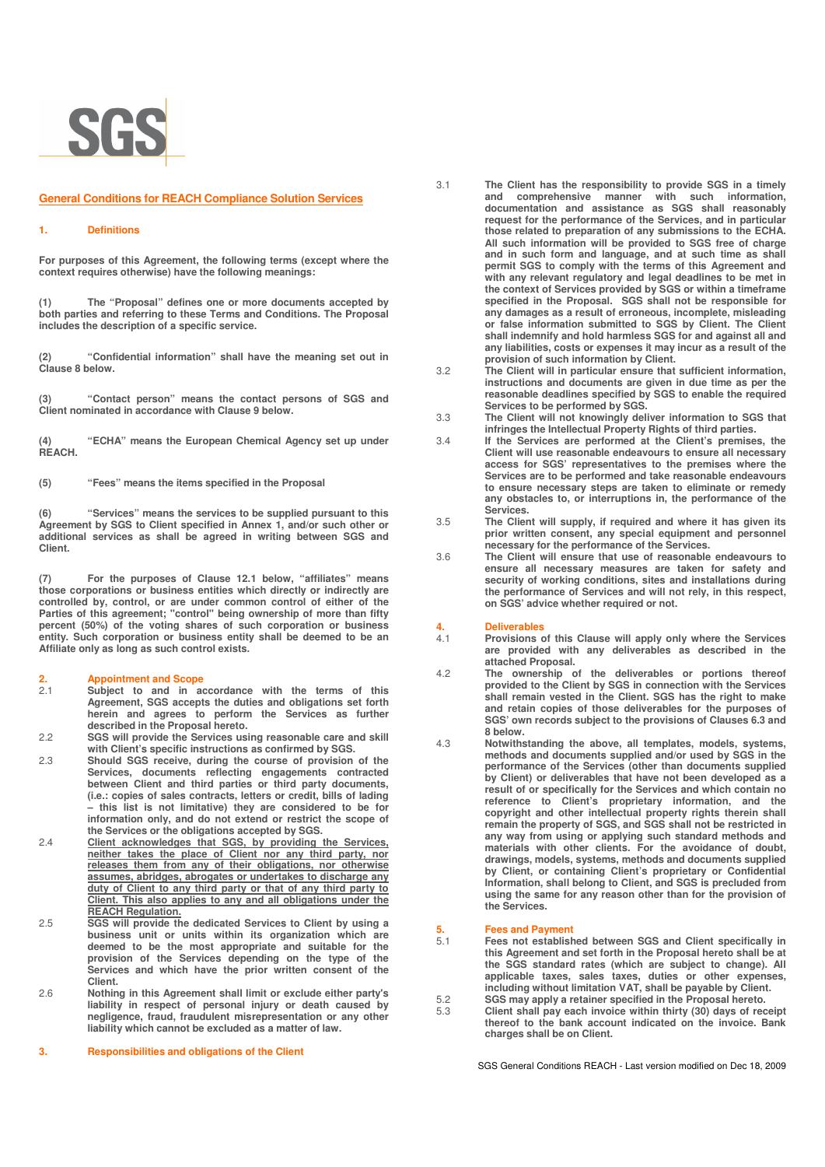

### **General Conditions for REACH Compliance Solution Services**

### **1. Definitions**

**For purposes of this Agreement, the following terms (except where the context requires otherwise) have the following meanings:** 

**(1) The "Proposal" defines one or more documents accepted by both parties and referring to these Terms and Conditions. The Proposal includes the description of a specific service.** 

**(2) "Confidential information" shall have the meaning set out in Clause 8 below.** 

**(3) "Contact person" means the contact persons of SGS and Client nominated in accordance with Clause 9 below.**

**(4) "ECHA" means the European Chemical Agency set up under REACH.** 

**(5) "Fees" means the items specified in the Proposal** 

**(6) "Services" means the services to be supplied pursuant to this Agreement by SGS to Client specified in Annex 1, and/or such other or additional services as shall be agreed in writing between SGS and Client.** 

**(7) For the purposes of Clause 12.1 below, "affiliates" means those corporations or business entities which directly or indirectly are controlled by, control, or are under common control of either of the Parties of this agreement; "control" being ownership of more than fifty percent (50%) of the voting shares of such corporation or business entity. Such corporation or business entity shall be deemed to be an Affiliate only as long as such control exists.** 

- **2. Appointment and Scope**  2.1 **Subject to and in accordance with the terms of this Agreement, SGS accepts the duties and obligations set forth herein and agrees to perform the Services as further described in the Proposal hereto.**
- 2.2 **SGS will provide the Services using reasonable care and skill with Client's specific instructions as confirmed by SGS.**
- 2.3 **Should SGS receive, during the course of provision of the Services, documents reflecting engagements contracted between Client and third parties or third party documents, (i.e.: copies of sales contracts, letters or credit, bills of lading – this list is not limitative) they are considered to be for information only, and do not extend or restrict the scope of the Services or the obligations accepted by SGS.**
- 2.4 **Client acknowledges that SGS, by providing the Services, neither takes the place of Client nor any third party, nor releases them from any of their obligations, nor otherwise assumes, abridges, abrogates or undertakes to discharge any duty of Client to any third party or that of any third party to Client. This also applies to any and all obligations under the**
- **REACH Regulation.** 2.5 **SGS will provide the dedicated Services to Client by using a business unit or units within its organization which are deemed to be the most appropriate and suitable for the provision of the Services depending on the type of the Services and which have the prior written consent of the Client.**
- 2.6 **Nothing in this Agreement shall limit or exclude either party's liability in respect of personal injury or death caused by negligence, fraud, fraudulent misrepresentation or any other liability which cannot be excluded as a matter of law.**

**3. Responsibilities and obligations of the Client** 

- 3.1 **The Client has the responsibility to provide SGS in a timely and comprehensive manner with such information, documentation and assistance as SGS shall reasonably request for the performance of the Services, and in particular those related to preparation of any submissions to the ECHA. All such information will be provided to SGS free of charge and in such form and language, and at such time as shall permit SGS to comply with the terms of this Agreement and with any relevant regulatory and legal deadlines to be met in the context of Services provided by SGS or within a timeframe specified in the Proposal. SGS shall not be responsible for any damages as a result of erroneous, incomplete, misleading or false information submitted to SGS by Client. The Client shall indemnify and hold harmless SGS for and against all and any liabilities, costs or expenses it may incur as a result of the provision of such information by Client.**
- 3.2 **The Client will in particular ensure that sufficient information, instructions and documents are given in due time as per the reasonable deadlines specified by SGS to enable the required Services to be performed by SGS.**
- 3.3 **The Client will not knowingly deliver information to SGS that infringes the Intellectual Property Rights of third parties.**
- 3.4 **If the Services are performed at the Client's premises, the Client will use reasonable endeavours to ensure all necessary access for SGS' representatives to the premises where the Services are to be performed and take reasonable endeavours to ensure necessary steps are taken to eliminate or remedy any obstacles to, or interruptions in, the performance of the Services.**
- 3.5 **The Client will supply, if required and where it has given its prior written consent, any special equipment and personnel necessary for the performance of the Services.**
- 3.6 **The Client will ensure that use of reasonable endeavours to ensure all necessary measures are taken for safety and security of working conditions, sites and installations during the performance of Services and will not rely, in this respect, on SGS' advice whether required or not.**

## **4. Deliverables**

- 4.1 **Provisions of this Clause will apply only where the Services are provided with any deliverables as described in the attached Proposal.**
- 4.2 **The ownership of the deliverables or portions thereof provided to the Client by SGS in connection with the Services shall remain vested in the Client. SGS has the right to make and retain copies of those deliverables for the purposes of SGS' own records subject to the provisions of Clauses 6.3 and 8 below.**
- 4.3 **Notwithstanding the above, all templates, models, systems, methods and documents supplied and/or used by SGS in the performance of the Services (other than documents supplied by Client) or deliverables that have not been developed as a result of or specifically for the Services and which contain no reference to Client's proprietary information, and the copyright and other intellectual property rights therein shall remain the property of SGS, and SGS shall not be restricted in any way from using or applying such standard methods and materials with other clients. For the avoidance of doubt, drawings, models, systems, methods and documents supplied by Client, or containing Client's proprietary or Confidential Information, shall belong to Client, and SGS is precluded from using the same for any reason other than for the provision of the Services.**

## **5. Fees and Payment**

- 5.1 **Fees not established between SGS and Client specifically in this Agreement and set forth in the Proposal hereto shall be at the SGS standard rates (which are subject to change). All applicable taxes, sales taxes, duties or other expenses, including without limitation VAT, shall be payable by Client.**
- 5.2 **SGS may apply a retainer specified in the Proposal hereto.**
- 5.3 **Client shall pay each invoice within thirty (30) days of receipt thereof to the bank account indicated on the invoice. Bank charges shall be on Client.**

SGS General Conditions REACH - Last version modified on Dec 18, 2009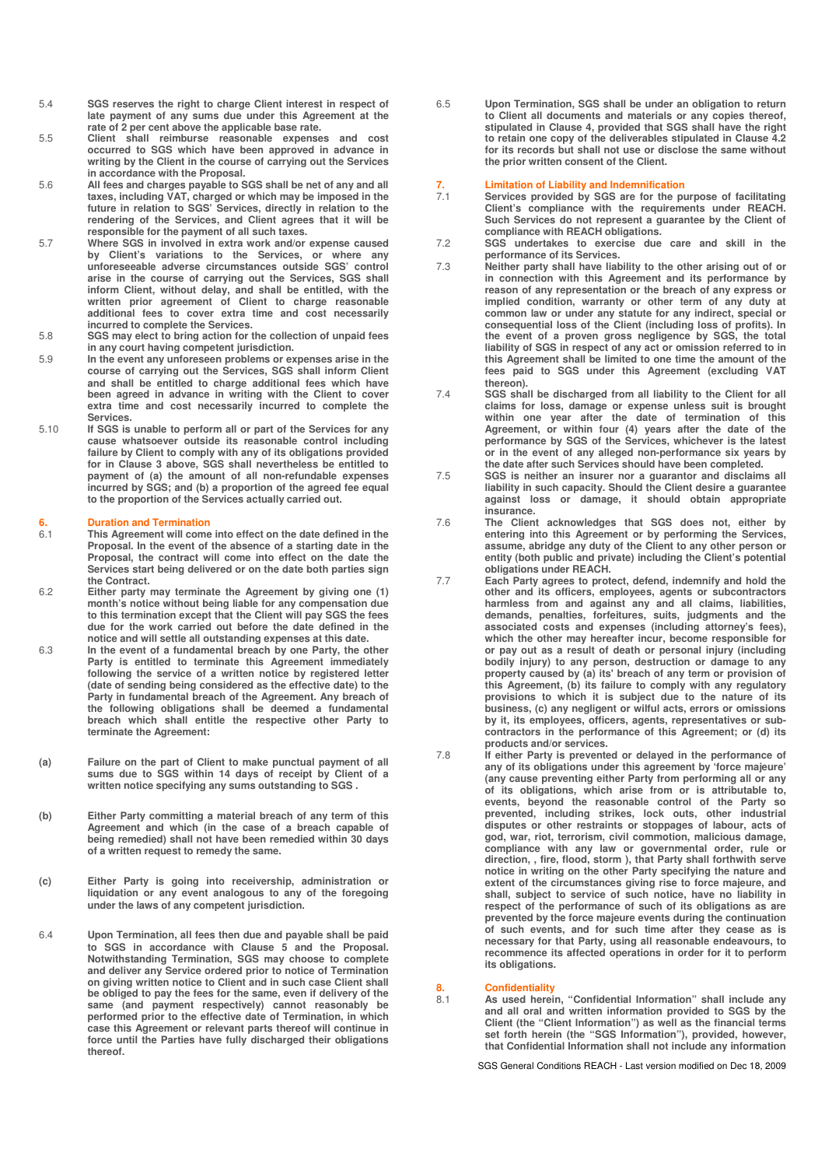- 5.4 **SGS reserves the right to charge Client interest in respect of late payment of any sums due under this Agreement at the rate of 2 per cent above the applicable base rate.**
- 5.5 **Client shall reimburse reasonable expenses and cost occurred to SGS which have been approved in advance in writing by the Client in the course of carrying out the Services in accordance with the Proposal.**
- 5.6 **All fees and charges payable to SGS shall be net of any and all taxes, including VAT, charged or which may be imposed in the future in relation to SGS' Services, directly in relation to the rendering of the Services, and Client agrees that it will be responsible for the payment of all such taxes.**
- 5.7 **Where SGS in involved in extra work and/or expense caused by Client's variations to the Services, or where any unforeseeable adverse circumstances outside SGS' control arise in the course of carrying out the Services, SGS shall inform Client, without delay, and shall be entitled, with the written prior agreement of Client to charge reasonable additional fees to cover extra time and cost necessarily incurred to complete the Services.**
- 5.8 **SGS may elect to bring action for the collection of unpaid fees in any court having competent jurisdiction.**
- 5.9 **In the event any unforeseen problems or expenses arise in the course of carrying out the Services, SGS shall inform Client and shall be entitled to charge additional fees which have been agreed in advance in writing with the Client to cover extra time and cost necessarily incurred to complete the Services.**
- 5.10 **If SGS is unable to perform all or part of the Services for any cause whatsoever outside its reasonable control including failure by Client to comply with any of its obligations provided for in Clause 3 above, SGS shall nevertheless be entitled to payment of (a) the amount of all non-refundable expenses incurred by SGS; and (b) a proportion of the agreed fee equal to the proportion of the Services actually carried out.**

### **6. Duration and Termination**

- 6.1 **This Agreement will come into effect on the date defined in the Proposal. In the event of the absence of a starting date in the Proposal, the contract will come into effect on the date the Services start being delivered or on the date both parties sign the Contract.**
- 6.2 **Either party may terminate the Agreement by giving one (1) month's notice without being liable for any compensation due to this termination except that the Client will pay SGS the fees due for the work carried out before the date defined in the notice and will settle all outstanding expenses at this date.**
- 6.3 **In the event of a fundamental breach by one Party, the other Party is entitled to terminate this Agreement immediately following the service of a written notice by registered letter (date of sending being considered as the effective date) to the Party in fundamental breach of the Agreement. Any breach of the following obligations shall be deemed a fundamental breach which shall entitle the respective other Party to terminate the Agreement:**
- **(a) Failure on the part of Client to make punctual payment of all sums due to SGS within 14 days of receipt by Client of a written notice specifying any sums outstanding to SGS .**
- **(b) Either Party committing a material breach of any term of this Agreement and which (in the case of a breach capable of being remedied) shall not have been remedied within 30 days of a written request to remedy the same.**
- **(c) Either Party is going into receivership, administration or liquidation or any event analogous to any of the foregoing under the laws of any competent jurisdiction.**
- 6.4 **Upon Termination, all fees then due and payable shall be paid to SGS in accordance with Clause 5 and the Proposal. Notwithstanding Termination, SGS may choose to complete and deliver any Service ordered prior to notice of Termination on giving written notice to Client and in such case Client shall be obliged to pay the fees for the same, even if delivery of the same (and payment respectively) cannot reasonably be performed prior to the effective date of Termination, in which case this Agreement or relevant parts thereof will continue in force until the Parties have fully discharged their obligations thereof.**

6.5 **Upon Termination, SGS shall be under an obligation to return to Client all documents and materials or any copies thereof, stipulated in Clause 4, provided that SGS shall have the right to retain one copy of the deliverables stipulated in Clause 4.2 for its records but shall not use or disclose the same without the prior written consent of the Client.** 

### **7. Limitation of Liability and Indemnification**

- 7.1 **Services provided by SGS are for the purpose of facilitating Client's compliance with the requirements under REACH. Such Services do not represent a guarantee by the Client of compliance with REACH obligations.**
- 7.2 **SGS undertakes to exercise due care and skill in the performance of its Services.**  7.3 **Neither party shall have liability to the other arising out of or**
- **in connection with this Agreement and its performance by reason of any representation or the breach of any express or implied condition, warranty or other term of any duty at common law or under any statute for any indirect, special or consequential loss of the Client (including loss of profits). In the event of a proven gross negligence by SGS, the total liability of SGS in respect of any act or omission referred to in this Agreement shall be limited to one time the amount of the fees paid to SGS under this Agreement (excluding VAT thereon).**
- 7.4 **SGS shall be discharged from all liability to the Client for all claims for loss, damage or expense unless suit is brought within one year after the date of termination of this Agreement, or within four (4) years after the date of the performance by SGS of the Services, whichever is the latest or in the event of any alleged non-performance six years by the date after such Services should have been completed.**
- 7.5 **SGS is neither an insurer nor a guarantor and disclaims all liability in such capacity. Should the Client desire a guarantee against loss or damage, it should obtain appropriate insurance.**
- 7.6 **The Client acknowledges that SGS does not, either by entering into this Agreement or by performing the Services, assume, abridge any duty of the Client to any other person or entity (both public and private) including the Client's potential obligations under REACH.**
- 7.7 **Each Party agrees to protect, defend, indemnify and hold the other and its officers, employees, agents or subcontractors harmless from and against any and all claims, liabilities, demands, penalties, forfeitures, suits, judgments and the associated costs and expenses (including attorney's fees), which the other may hereafter incur, become responsible for or pay out as a result of death or personal injury (including bodily injury) to any person, destruction or damage to any property caused by (a) its' breach of any term or provision of this Agreement, (b) its failure to comply with any regulatory provisions to which it is subject due to the nature of its business, (c) any negligent or wilful acts, errors or omissions by it, its employees, officers, agents, representatives or subcontractors in the performance of this Agreement; or (d) its products and/or services.**
- 7.8 **If either Party is prevented or delayed in the performance of any of its obligations under this agreement by 'force majeure' (any cause preventing either Party from performing all or any of its obligations, which arise from or is attributable to, events, beyond the reasonable control of the Party so prevented, including strikes, lock outs, other industrial disputes or other restraints or stoppages of labour, acts of god, war, riot, terrorism, civil commotion, malicious damage, compliance with any law or governmental order, rule or direction, , fire, flood, storm ), that Party shall forthwith serve notice in writing on the other Party specifying the nature and extent of the circumstances giving rise to force majeure, and shall, subject to service of such notice, have no liability in respect of the performance of such of its obligations as are prevented by the force majeure events during the continuation of such events, and for such time after they cease as is necessary for that Party, using all reasonable endeavours, to recommence its affected operations in order for it to perform its obligations.**

### **8. Confidentiality**<br> **8.1 As used berei**

As used herein, "Confidential Information" shall include any **and all oral and written information provided to SGS by the Client (the "Client Information") as well as the financial terms set forth herein (the "SGS Information"), provided, however, that Confidential Information shall not include any information** 

SGS General Conditions REACH - Last version modified on Dec 18, 2009